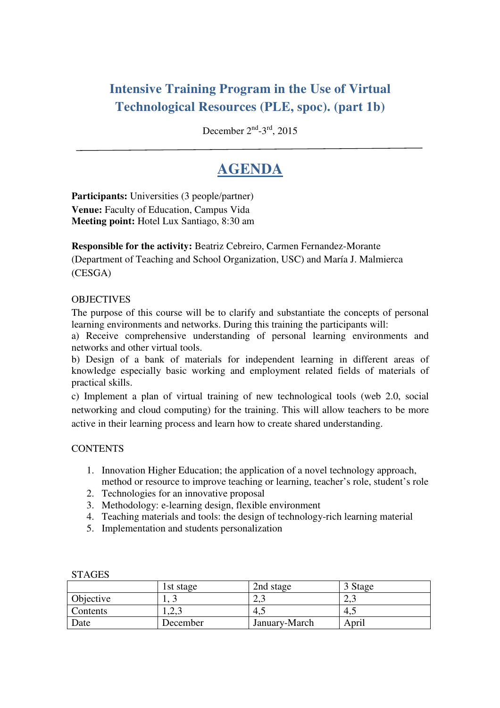# **Intensive Training Program in the Use of Virtual Technological Resources (PLE, spoc). (part 1b)**

December 2<sup>nd</sup>-3<sup>rd</sup>, 2015

# **AGENDA**

**Participants:** Universities (3 people/partner) **Venue:** Faculty of Education, Campus Vida **Meeting point:** Hotel Lux Santiago, 8:30 am

**Responsible for the activity:** Beatriz Cebreiro, Carmen Fernandez-Morante (Department of Teaching and School Organization, USC) and María J. Malmierca (CESGA)

### **OBJECTIVES**

The purpose of this course will be to clarify and substantiate the concepts of personal learning environments and networks. During this training the participants will:

a) Receive comprehensive understanding of personal learning environments and networks and other virtual tools.

b) Design of a bank of materials for independent learning in different areas of knowledge especially basic working and employment related fields of materials of practical skills.

c) Implement a plan of virtual training of new technological tools (web 2.0, social networking and cloud computing) for the training. This will allow teachers to be more active in their learning process and learn how to create shared understanding.

#### **CONTENTS**

- 1. Innovation Higher Education; the application of a novel technology approach, method or resource to improve teaching or learning, teacher's role, student's role
- 2. Technologies for an innovative proposal
- 3. Methodology: e-learning design, flexible environment
- 4. Teaching materials and tools: the design of technology-rich learning material
- 5. Implementation and students personalization

| ,,,,,,,,,        |           |               |       |
|------------------|-----------|---------------|-------|
|                  | 1st stage | 2nd stage     | Stage |
| <b>Objective</b> |           | ن و سک        | ∠.    |
| <b>Contents</b>  | ل ہ⊿ما    | 4.1           | т.    |
| Date             | December  | January-March | April |

# **STAGES**